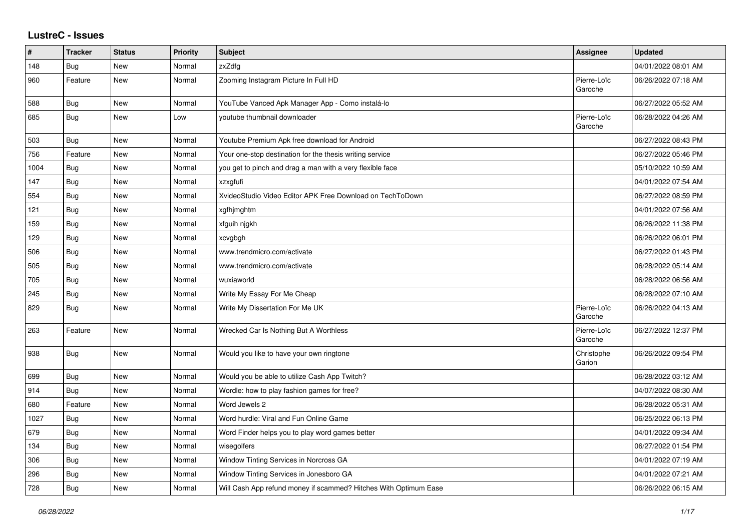## **LustreC - Issues**

| #    | <b>Tracker</b> | <b>Status</b> | <b>Priority</b> | <b>Subject</b>                                                   | Assignee               | <b>Updated</b>      |
|------|----------------|---------------|-----------------|------------------------------------------------------------------|------------------------|---------------------|
| 148  | <b>Bug</b>     | New           | Normal          | zxZdfg                                                           |                        | 04/01/2022 08:01 AM |
| 960  | Feature        | New           | Normal          | Zooming Instagram Picture In Full HD                             | Pierre-Loïc<br>Garoche | 06/26/2022 07:18 AM |
| 588  | Bug            | New           | Normal          | YouTube Vanced Apk Manager App - Como instalá-lo                 |                        | 06/27/2022 05:52 AM |
| 685  | Bug            | New           | Low             | youtube thumbnail downloader                                     | Pierre-Loïc<br>Garoche | 06/28/2022 04:26 AM |
| 503  | Bug            | <b>New</b>    | Normal          | Youtube Premium Apk free download for Android                    |                        | 06/27/2022 08:43 PM |
| 756  | Feature        | New           | Normal          | Your one-stop destination for the thesis writing service         |                        | 06/27/2022 05:46 PM |
| 1004 | Bug            | New           | Normal          | you get to pinch and drag a man with a very flexible face        |                        | 05/10/2022 10:59 AM |
| 147  | <b>Bug</b>     | New           | Normal          | xzxgfufi                                                         |                        | 04/01/2022 07:54 AM |
| 554  | <b>Bug</b>     | New           | Normal          | XvideoStudio Video Editor APK Free Download on TechToDown        |                        | 06/27/2022 08:59 PM |
| 121  | Bug            | New           | Normal          | xgfhjmghtm                                                       |                        | 04/01/2022 07:56 AM |
| 159  | <b>Bug</b>     | <b>New</b>    | Normal          | xfguih njgkh                                                     |                        | 06/26/2022 11:38 PM |
| 129  | <b>Bug</b>     | New           | Normal          | xcvgbgh                                                          |                        | 06/26/2022 06:01 PM |
| 506  | Bug            | New           | Normal          | www.trendmicro.com/activate                                      |                        | 06/27/2022 01:43 PM |
| 505  | <b>Bug</b>     | New           | Normal          | www.trendmicro.com/activate                                      |                        | 06/28/2022 05:14 AM |
| 705  | Bug            | New           | Normal          | wuxiaworld                                                       |                        | 06/28/2022 06:56 AM |
| 245  | Bug            | New           | Normal          | Write My Essay For Me Cheap                                      |                        | 06/28/2022 07:10 AM |
| 829  | Bug            | <b>New</b>    | Normal          | Write My Dissertation For Me UK                                  | Pierre-Loïc<br>Garoche | 06/26/2022 04:13 AM |
| 263  | Feature        | New           | Normal          | Wrecked Car Is Nothing But A Worthless                           | Pierre-Loïc<br>Garoche | 06/27/2022 12:37 PM |
| 938  | Bug            | New           | Normal          | Would you like to have your own ringtone                         | Christophe<br>Garion   | 06/26/2022 09:54 PM |
| 699  | <b>Bug</b>     | New           | Normal          | Would you be able to utilize Cash App Twitch?                    |                        | 06/28/2022 03:12 AM |
| 914  | Bug            | <b>New</b>    | Normal          | Wordle: how to play fashion games for free?                      |                        | 04/07/2022 08:30 AM |
| 680  | Feature        | New           | Normal          | Word Jewels 2                                                    |                        | 06/28/2022 05:31 AM |
| 1027 | <b>Bug</b>     | New           | Normal          | Word hurdle: Viral and Fun Online Game                           |                        | 06/25/2022 06:13 PM |
| 679  | <b>Bug</b>     | New           | Normal          | Word Finder helps you to play word games better                  |                        | 04/01/2022 09:34 AM |
| 134  | <b>Bug</b>     | <b>New</b>    | Normal          | wisegolfers                                                      |                        | 06/27/2022 01:54 PM |
| 306  | Bug            | New           | Normal          | Window Tinting Services in Norcross GA                           |                        | 04/01/2022 07:19 AM |
| 296  | Bug            | New           | Normal          | Window Tinting Services in Jonesboro GA                          |                        | 04/01/2022 07:21 AM |
| 728  | Bug            | New           | Normal          | Will Cash App refund money if scammed? Hitches With Optimum Ease |                        | 06/26/2022 06:15 AM |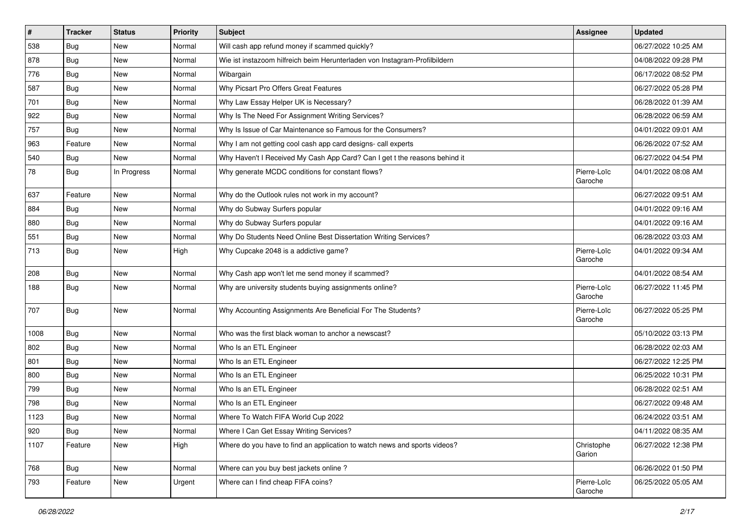| $\vert$ # | <b>Tracker</b> | <b>Status</b> | Priority | <b>Subject</b>                                                             | Assignee               | <b>Updated</b>      |
|-----------|----------------|---------------|----------|----------------------------------------------------------------------------|------------------------|---------------------|
| 538       | <b>Bug</b>     | New           | Normal   | Will cash app refund money if scammed quickly?                             |                        | 06/27/2022 10:25 AM |
| 878       | Bug            | New           | Normal   | Wie ist instazoom hilfreich beim Herunterladen von Instagram-Profilbildern |                        | 04/08/2022 09:28 PM |
| 776       | <b>Bug</b>     | New           | Normal   | Wibargain                                                                  |                        | 06/17/2022 08:52 PM |
| 587       | <b>Bug</b>     | New           | Normal   | Why Picsart Pro Offers Great Features                                      |                        | 06/27/2022 05:28 PM |
| 701       | Bug            | New           | Normal   | Why Law Essay Helper UK is Necessary?                                      |                        | 06/28/2022 01:39 AM |
| 922       | <b>Bug</b>     | New           | Normal   | Why Is The Need For Assignment Writing Services?                           |                        | 06/28/2022 06:59 AM |
| 757       | <b>Bug</b>     | New           | Normal   | Why Is Issue of Car Maintenance so Famous for the Consumers?               |                        | 04/01/2022 09:01 AM |
| 963       | Feature        | New           | Normal   | Why I am not getting cool cash app card designs- call experts              |                        | 06/26/2022 07:52 AM |
| 540       | Bug            | New           | Normal   | Why Haven't I Received My Cash App Card? Can I get t the reasons behind it |                        | 06/27/2022 04:54 PM |
| 78        | Bug            | In Progress   | Normal   | Why generate MCDC conditions for constant flows?                           | Pierre-Loïc<br>Garoche | 04/01/2022 08:08 AM |
| 637       | Feature        | New           | Normal   | Why do the Outlook rules not work in my account?                           |                        | 06/27/2022 09:51 AM |
| 884       | Bug            | New           | Normal   | Why do Subway Surfers popular                                              |                        | 04/01/2022 09:16 AM |
| 880       | <b>Bug</b>     | New           | Normal   | Why do Subway Surfers popular                                              |                        | 04/01/2022 09:16 AM |
| 551       | Bug            | New           | Normal   | Why Do Students Need Online Best Dissertation Writing Services?            |                        | 06/28/2022 03:03 AM |
| 713       | Bug            | New           | High     | Why Cupcake 2048 is a addictive game?                                      | Pierre-Loïc<br>Garoche | 04/01/2022 09:34 AM |
| 208       | Bug            | New           | Normal   | Why Cash app won't let me send money if scammed?                           |                        | 04/01/2022 08:54 AM |
| 188       | Bug            | New           | Normal   | Why are university students buying assignments online?                     | Pierre-Loïc<br>Garoche | 06/27/2022 11:45 PM |
| 707       | Bug            | New           | Normal   | Why Accounting Assignments Are Beneficial For The Students?                | Pierre-Loïc<br>Garoche | 06/27/2022 05:25 PM |
| 1008      | Bug            | New           | Normal   | Who was the first black woman to anchor a newscast?                        |                        | 05/10/2022 03:13 PM |
| 802       | Bug            | New           | Normal   | Who Is an ETL Engineer                                                     |                        | 06/28/2022 02:03 AM |
| 801       | Bug            | New           | Normal   | Who Is an ETL Engineer                                                     |                        | 06/27/2022 12:25 PM |
| 800       | Bug            | <b>New</b>    | Normal   | Who Is an ETL Engineer                                                     |                        | 06/25/2022 10:31 PM |
| 799       | Bug            | New           | Normal   | Who Is an ETL Engineer                                                     |                        | 06/28/2022 02:51 AM |
| 798       | Bug            | New           | Normal   | Who Is an ETL Engineer                                                     |                        | 06/27/2022 09:48 AM |
| 1123      | Bug            | New           | Normal   | Where To Watch FIFA World Cup 2022                                         |                        | 06/24/2022 03:51 AM |
| 920       | <b>Bug</b>     | New           | Normal   | Where I Can Get Essay Writing Services?                                    |                        | 04/11/2022 08:35 AM |
| 1107      | Feature        | New           | High     | Where do you have to find an application to watch news and sports videos?  | Christophe<br>Garion   | 06/27/2022 12:38 PM |
| 768       | Bug            | New           | Normal   | Where can you buy best jackets online?                                     |                        | 06/26/2022 01:50 PM |
| 793       | Feature        | New           | Urgent   | Where can I find cheap FIFA coins?                                         | Pierre-Loïc<br>Garoche | 06/25/2022 05:05 AM |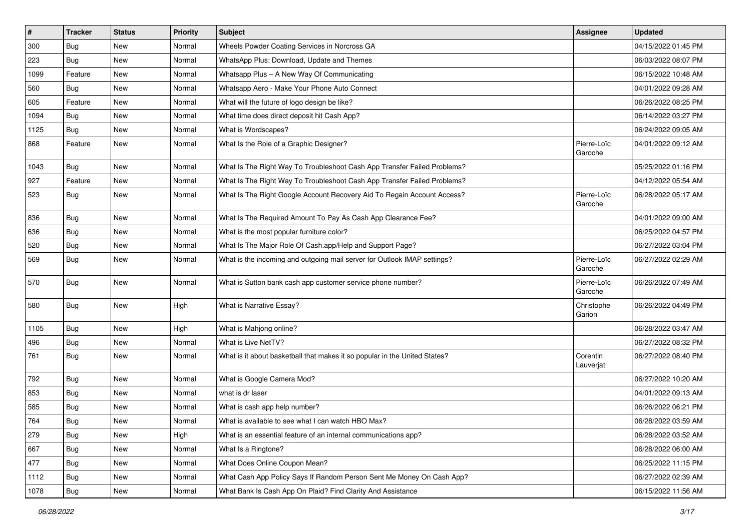| $\sharp$ | <b>Tracker</b> | <b>Status</b> | Priority | Subject                                                                    | Assignee               | <b>Updated</b>      |
|----------|----------------|---------------|----------|----------------------------------------------------------------------------|------------------------|---------------------|
| 300      | Bug            | New           | Normal   | Wheels Powder Coating Services in Norcross GA                              |                        | 04/15/2022 01:45 PM |
| 223      | Bug            | <b>New</b>    | Normal   | WhatsApp Plus: Download, Update and Themes                                 |                        | 06/03/2022 08:07 PM |
| 1099     | Feature        | New           | Normal   | Whatsapp Plus - A New Way Of Communicating                                 |                        | 06/15/2022 10:48 AM |
| 560      | Bug            | New           | Normal   | Whatsapp Aero - Make Your Phone Auto Connect                               |                        | 04/01/2022 09:28 AM |
| 605      | Feature        | New           | Normal   | What will the future of logo design be like?                               |                        | 06/26/2022 08:25 PM |
| 1094     | Bug            | New           | Normal   | What time does direct deposit hit Cash App?                                |                        | 06/14/2022 03:27 PM |
| 1125     | Bug            | New           | Normal   | What is Wordscapes?                                                        |                        | 06/24/2022 09:05 AM |
| 868      | Feature        | New           | Normal   | What Is the Role of a Graphic Designer?                                    | Pierre-Loïc<br>Garoche | 04/01/2022 09:12 AM |
| 1043     | Bug            | New           | Normal   | What Is The Right Way To Troubleshoot Cash App Transfer Failed Problems?   |                        | 05/25/2022 01:16 PM |
| 927      | Feature        | New           | Normal   | What Is The Right Way To Troubleshoot Cash App Transfer Failed Problems?   |                        | 04/12/2022 05:54 AM |
| 523      | Bug            | New           | Normal   | What Is The Right Google Account Recovery Aid To Regain Account Access?    | Pierre-Loïc<br>Garoche | 06/28/2022 05:17 AM |
| 836      | Bug            | New           | Normal   | What Is The Required Amount To Pay As Cash App Clearance Fee?              |                        | 04/01/2022 09:00 AM |
| 636      | Bug            | New           | Normal   | What is the most popular furniture color?                                  |                        | 06/25/2022 04:57 PM |
| 520      | Bug            | New           | Normal   | What Is The Major Role Of Cash.app/Help and Support Page?                  |                        | 06/27/2022 03:04 PM |
| 569      | Bug            | New           | Normal   | What is the incoming and outgoing mail server for Outlook IMAP settings?   | Pierre-Loïc<br>Garoche | 06/27/2022 02:29 AM |
| 570      | Bug            | New           | Normal   | What is Sutton bank cash app customer service phone number?                | Pierre-Loïc<br>Garoche | 06/26/2022 07:49 AM |
| 580      | Bug            | New           | High     | What is Narrative Essay?                                                   | Christophe<br>Garion   | 06/26/2022 04:49 PM |
| 1105     | Bug            | New           | High     | What is Mahjong online?                                                    |                        | 06/28/2022 03:47 AM |
| 496      | Bug            | New           | Normal   | What is Live NetTV?                                                        |                        | 06/27/2022 08:32 PM |
| 761      | Bug            | New           | Normal   | What is it about basketball that makes it so popular in the United States? | Corentin<br>Lauverjat  | 06/27/2022 08:40 PM |
| 792      | Bug            | New           | Normal   | What is Google Camera Mod?                                                 |                        | 06/27/2022 10:20 AM |
| 853      | Bug            | New           | Normal   | what is dr laser                                                           |                        | 04/01/2022 09:13 AM |
| 585      | Bug            | New           | Normal   | What is cash app help number?                                              |                        | 06/26/2022 06:21 PM |
| 764      | <b>Bug</b>     | New           | Normal   | What is available to see what I can watch HBO Max?                         |                        | 06/28/2022 03:59 AM |
| 279      | Bug            | New           | High     | What is an essential feature of an internal communications app?            |                        | 06/28/2022 03:52 AM |
| 667      | Bug            | New           | Normal   | What Is a Ringtone?                                                        |                        | 06/28/2022 06:00 AM |
| 477      | Bug            | New           | Normal   | What Does Online Coupon Mean?                                              |                        | 06/25/2022 11:15 PM |
| 1112     | Bug            | New           | Normal   | What Cash App Policy Says If Random Person Sent Me Money On Cash App?      |                        | 06/27/2022 02:39 AM |
| 1078     | Bug            | New           | Normal   | What Bank Is Cash App On Plaid? Find Clarity And Assistance                |                        | 06/15/2022 11:56 AM |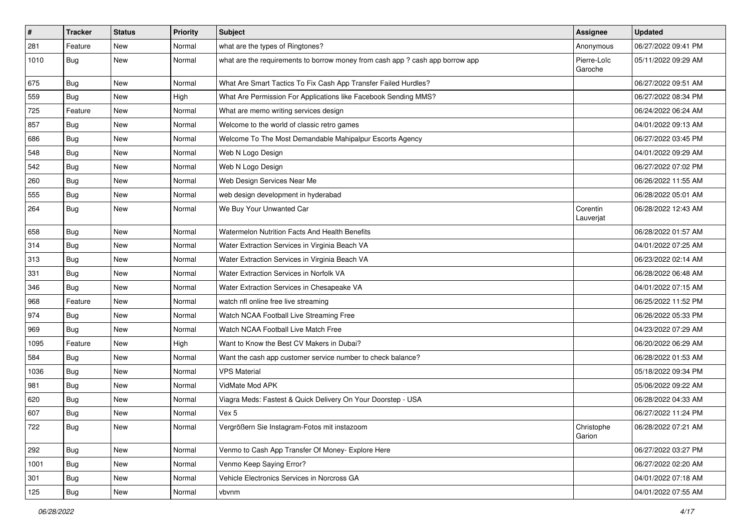| #    | <b>Tracker</b> | <b>Status</b> | Priority | <b>Subject</b>                                                                | <b>Assignee</b>        | <b>Updated</b>      |
|------|----------------|---------------|----------|-------------------------------------------------------------------------------|------------------------|---------------------|
| 281  | Feature        | New           | Normal   | what are the types of Ringtones?                                              | Anonymous              | 06/27/2022 09:41 PM |
| 1010 | Bug            | New           | Normal   | what are the requirements to borrow money from cash app ? cash app borrow app | Pierre-Loïc<br>Garoche | 05/11/2022 09:29 AM |
| 675  | Bug            | New           | Normal   | What Are Smart Tactics To Fix Cash App Transfer Failed Hurdles?               |                        | 06/27/2022 09:51 AM |
| 559  | Bug            | <b>New</b>    | High     | What Are Permission For Applications like Facebook Sending MMS?               |                        | 06/27/2022 08:34 PM |
| 725  | Feature        | New           | Normal   | What are memo writing services design                                         |                        | 06/24/2022 06:24 AM |
| 857  | Bug            | New           | Normal   | Welcome to the world of classic retro games                                   |                        | 04/01/2022 09:13 AM |
| 686  | Bug            | New           | Normal   | Welcome To The Most Demandable Mahipalpur Escorts Agency                      |                        | 06/27/2022 03:45 PM |
| 548  | Bug            | New           | Normal   | Web N Logo Design                                                             |                        | 04/01/2022 09:29 AM |
| 542  | Bug            | New           | Normal   | Web N Logo Design                                                             |                        | 06/27/2022 07:02 PM |
| 260  | Bug            | New           | Normal   | Web Design Services Near Me                                                   |                        | 06/26/2022 11:55 AM |
| 555  | Bug            | New           | Normal   | web design development in hyderabad                                           |                        | 06/28/2022 05:01 AM |
| 264  | Bug            | New           | Normal   | We Buy Your Unwanted Car                                                      | Corentin<br>Lauverjat  | 06/28/2022 12:43 AM |
| 658  | Bug            | New           | Normal   | Watermelon Nutrition Facts And Health Benefits                                |                        | 06/28/2022 01:57 AM |
| 314  | Bug            | New           | Normal   | Water Extraction Services in Virginia Beach VA                                |                        | 04/01/2022 07:25 AM |
| 313  | Bug            | New           | Normal   | Water Extraction Services in Virginia Beach VA                                |                        | 06/23/2022 02:14 AM |
| 331  | Bug            | New           | Normal   | Water Extraction Services in Norfolk VA                                       |                        | 06/28/2022 06:48 AM |
| 346  | <b>Bug</b>     | New           | Normal   | Water Extraction Services in Chesapeake VA                                    |                        | 04/01/2022 07:15 AM |
| 968  | Feature        | New           | Normal   | watch nfl online free live streaming                                          |                        | 06/25/2022 11:52 PM |
| 974  | Bug            | <b>New</b>    | Normal   | Watch NCAA Football Live Streaming Free                                       |                        | 06/26/2022 05:33 PM |
| 969  | <b>Bug</b>     | New           | Normal   | Watch NCAA Football Live Match Free                                           |                        | 04/23/2022 07:29 AM |
| 1095 | Feature        | New           | High     | Want to Know the Best CV Makers in Dubai?                                     |                        | 06/20/2022 06:29 AM |
| 584  | Bug            | New           | Normal   | Want the cash app customer service number to check balance?                   |                        | 06/28/2022 01:53 AM |
| 1036 | Bug            | New           | Normal   | <b>VPS Material</b>                                                           |                        | 05/18/2022 09:34 PM |
| 981  | Bug            | New           | Normal   | VidMate Mod APK                                                               |                        | 05/06/2022 09:22 AM |
| 620  | Bug            | New           | Normal   | Viagra Meds: Fastest & Quick Delivery On Your Doorstep - USA                  |                        | 06/28/2022 04:33 AM |
| 607  | Bug            | New           | Normal   | Vex 5                                                                         |                        | 06/27/2022 11:24 PM |
| 722  | <b>Bug</b>     | New           | Normal   | Vergrößern Sie Instagram-Fotos mit instazoom                                  | Christophe<br>Garion   | 06/28/2022 07:21 AM |
| 292  | Bug            | New           | Normal   | Venmo to Cash App Transfer Of Money- Explore Here                             |                        | 06/27/2022 03:27 PM |
| 1001 | Bug            | New           | Normal   | Venmo Keep Saying Error?                                                      |                        | 06/27/2022 02:20 AM |
| 301  | Bug            | New           | Normal   | Vehicle Electronics Services in Norcross GA                                   |                        | 04/01/2022 07:18 AM |
| 125  | <b>Bug</b>     | New           | Normal   | vbvnm                                                                         |                        | 04/01/2022 07:55 AM |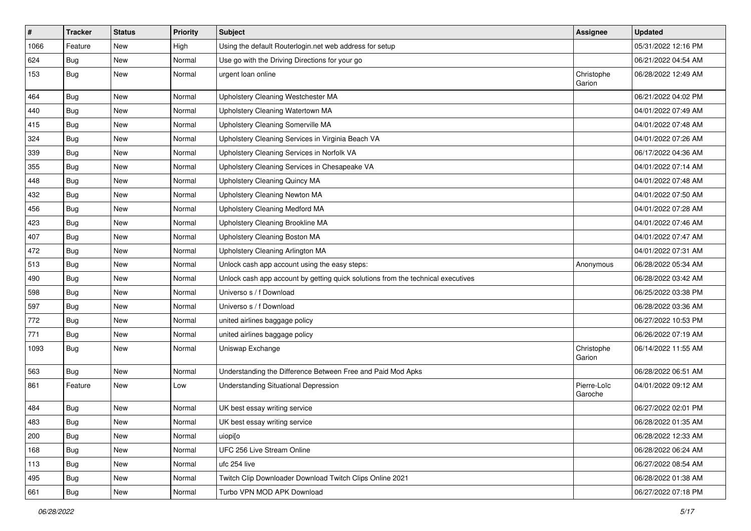| $\vert$ # | <b>Tracker</b> | <b>Status</b> | <b>Priority</b> | <b>Subject</b>                                                                   | <b>Assignee</b>        | <b>Updated</b>      |
|-----------|----------------|---------------|-----------------|----------------------------------------------------------------------------------|------------------------|---------------------|
| 1066      | Feature        | New           | High            | Using the default Routerlogin.net web address for setup                          |                        | 05/31/2022 12:16 PM |
| 624       | Bug            | New           | Normal          | Use go with the Driving Directions for your go                                   |                        | 06/21/2022 04:54 AM |
| 153       | Bug            | New           | Normal          | urgent loan online                                                               | Christophe<br>Garion   | 06/28/2022 12:49 AM |
| 464       | Bug            | New           | Normal          | Upholstery Cleaning Westchester MA                                               |                        | 06/21/2022 04:02 PM |
| 440       | Bug            | New           | Normal          | Upholstery Cleaning Watertown MA                                                 |                        | 04/01/2022 07:49 AM |
| 415       | Bug            | New           | Normal          | Upholstery Cleaning Somerville MA                                                |                        | 04/01/2022 07:48 AM |
| 324       | <b>Bug</b>     | New           | Normal          | Upholstery Cleaning Services in Virginia Beach VA                                |                        | 04/01/2022 07:26 AM |
| 339       | Bug            | New           | Normal          | Upholstery Cleaning Services in Norfolk VA                                       |                        | 06/17/2022 04:36 AM |
| 355       | Bug            | New           | Normal          | Upholstery Cleaning Services in Chesapeake VA                                    |                        | 04/01/2022 07:14 AM |
| 448       | Bug            | New           | Normal          | Upholstery Cleaning Quincy MA                                                    |                        | 04/01/2022 07:48 AM |
| 432       | Bug            | New           | Normal          | Upholstery Cleaning Newton MA                                                    |                        | 04/01/2022 07:50 AM |
| 456       | Bug            | New           | Normal          | <b>Upholstery Cleaning Medford MA</b>                                            |                        | 04/01/2022 07:28 AM |
| 423       | Bug            | New           | Normal          | Upholstery Cleaning Brookline MA                                                 |                        | 04/01/2022 07:46 AM |
| 407       | Bug            | New           | Normal          | Upholstery Cleaning Boston MA                                                    |                        | 04/01/2022 07:47 AM |
| 472       | Bug            | New           | Normal          | Upholstery Cleaning Arlington MA                                                 |                        | 04/01/2022 07:31 AM |
| 513       | Bug            | New           | Normal          | Unlock cash app account using the easy steps:                                    | Anonymous              | 06/28/2022 05:34 AM |
| 490       | Bug            | New           | Normal          | Unlock cash app account by getting quick solutions from the technical executives |                        | 06/28/2022 03:42 AM |
| 598       | Bug            | New           | Normal          | Universo s / f Download                                                          |                        | 06/25/2022 03:38 PM |
| 597       | Bug            | New           | Normal          | Universo s / f Download                                                          |                        | 06/28/2022 03:36 AM |
| 772       | Bug            | New           | Normal          | united airlines baggage policy                                                   |                        | 06/27/2022 10:53 PM |
| 771       | Bug            | New           | Normal          | united airlines baggage policy                                                   |                        | 06/26/2022 07:19 AM |
| 1093      | Bug            | New           | Normal          | Uniswap Exchange                                                                 | Christophe<br>Garion   | 06/14/2022 11:55 AM |
| 563       | Bug            | New           | Normal          | Understanding the Difference Between Free and Paid Mod Apks                      |                        | 06/28/2022 06:51 AM |
| 861       | Feature        | New           | Low             | Understanding Situational Depression                                             | Pierre-Loïc<br>Garoche | 04/01/2022 09:12 AM |
| 484       | Bug            | New           | Normal          | UK best essay writing service                                                    |                        | 06/27/2022 02:01 PM |
| 483       | Bug            | New           | Normal          | UK best essay writing service                                                    |                        | 06/28/2022 01:35 AM |
| 200       | Bug            | New           | Normal          | uiopi[o                                                                          |                        | 06/28/2022 12:33 AM |
| 168       | Bug            | New           | Normal          | UFC 256 Live Stream Online                                                       |                        | 06/28/2022 06:24 AM |
| 113       | Bug            | New           | Normal          | ufc 254 live                                                                     |                        | 06/27/2022 08:54 AM |
| 495       | Bug            | New           | Normal          | Twitch Clip Downloader Download Twitch Clips Online 2021                         |                        | 06/28/2022 01:38 AM |
| 661       | <b>Bug</b>     | New           | Normal          | Turbo VPN MOD APK Download                                                       |                        | 06/27/2022 07:18 PM |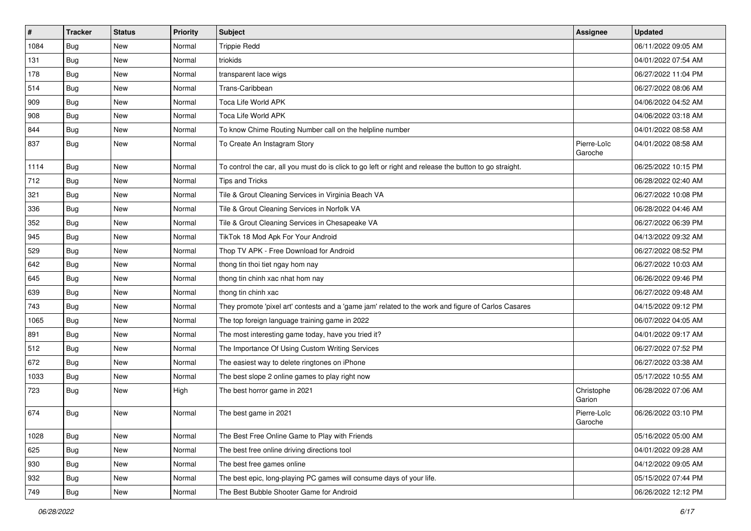| $\vert$ # | <b>Tracker</b> | <b>Status</b> | <b>Priority</b> | <b>Subject</b>                                                                                          | Assignee               | <b>Updated</b>      |
|-----------|----------------|---------------|-----------------|---------------------------------------------------------------------------------------------------------|------------------------|---------------------|
| 1084      | <b>Bug</b>     | New           | Normal          | <b>Trippie Redd</b>                                                                                     |                        | 06/11/2022 09:05 AM |
| 131       | Bug            | New           | Normal          | triokids                                                                                                |                        | 04/01/2022 07:54 AM |
| 178       | Bug            | New           | Normal          | transparent lace wigs                                                                                   |                        | 06/27/2022 11:04 PM |
| 514       | <b>Bug</b>     | New           | Normal          | Trans-Caribbean                                                                                         |                        | 06/27/2022 08:06 AM |
| 909       | Bug            | New           | Normal          | Toca Life World APK                                                                                     |                        | 04/06/2022 04:52 AM |
| 908       | <b>Bug</b>     | New           | Normal          | Toca Life World APK                                                                                     |                        | 04/06/2022 03:18 AM |
| 844       | Bug            | New           | Normal          | To know Chime Routing Number call on the helpline number                                                |                        | 04/01/2022 08:58 AM |
| 837       | Bug            | New           | Normal          | To Create An Instagram Story                                                                            | Pierre-Loïc<br>Garoche | 04/01/2022 08:58 AM |
| 1114      | <b>Bug</b>     | <b>New</b>    | Normal          | To control the car, all you must do is click to go left or right and release the button to go straight. |                        | 06/25/2022 10:15 PM |
| 712       | Bug            | New           | Normal          | <b>Tips and Tricks</b>                                                                                  |                        | 06/28/2022 02:40 AM |
| 321       | <b>Bug</b>     | New           | Normal          | Tile & Grout Cleaning Services in Virginia Beach VA                                                     |                        | 06/27/2022 10:08 PM |
| 336       | Bug            | New           | Normal          | Tile & Grout Cleaning Services in Norfolk VA                                                            |                        | 06/28/2022 04:46 AM |
| 352       | <b>Bug</b>     | New           | Normal          | Tile & Grout Cleaning Services in Chesapeake VA                                                         |                        | 06/27/2022 06:39 PM |
| 945       | Bug            | New           | Normal          | TikTok 18 Mod Apk For Your Android                                                                      |                        | 04/13/2022 09:32 AM |
| 529       | Bug            | New           | Normal          | Thop TV APK - Free Download for Android                                                                 |                        | 06/27/2022 08:52 PM |
| 642       | <b>Bug</b>     | New           | Normal          | thong tin thoi tiet ngay hom nay                                                                        |                        | 06/27/2022 10:03 AM |
| 645       | Bug            | New           | Normal          | thong tin chinh xac nhat hom nay                                                                        |                        | 06/26/2022 09:46 PM |
| 639       | Bug            | New           | Normal          | thong tin chinh xac                                                                                     |                        | 06/27/2022 09:48 AM |
| 743       | Bug            | New           | Normal          | They promote 'pixel art' contests and a 'game jam' related to the work and figure of Carlos Casares     |                        | 04/15/2022 09:12 PM |
| 1065      | Bug            | New           | Normal          | The top foreign language training game in 2022                                                          |                        | 06/07/2022 04:05 AM |
| 891       | Bug            | New           | Normal          | The most interesting game today, have you tried it?                                                     |                        | 04/01/2022 09:17 AM |
| 512       | Bug            | New           | Normal          | The Importance Of Using Custom Writing Services                                                         |                        | 06/27/2022 07:52 PM |
| 672       | Bug            | New           | Normal          | The easiest way to delete ringtones on iPhone                                                           |                        | 06/27/2022 03:38 AM |
| 1033      | <b>Bug</b>     | New           | Normal          | The best slope 2 online games to play right now                                                         |                        | 05/17/2022 10:55 AM |
| 723       | Bug            | New           | High            | The best horror game in 2021                                                                            | Christophe<br>Garion   | 06/28/2022 07:06 AM |
| 674       | Bug            | New           | Normal          | The best game in 2021                                                                                   | Pierre-Loïc<br>Garoche | 06/26/2022 03:10 PM |
| 1028      | Bug            | New           | Normal          | The Best Free Online Game to Play with Friends                                                          |                        | 05/16/2022 05:00 AM |
| 625       | Bug            | New           | Normal          | The best free online driving directions tool                                                            |                        | 04/01/2022 09:28 AM |
| 930       | Bug            | New           | Normal          | The best free games online                                                                              |                        | 04/12/2022 09:05 AM |
| 932       | Bug            | New           | Normal          | The best epic, long-playing PC games will consume days of your life.                                    |                        | 05/15/2022 07:44 PM |
| 749       | <b>Bug</b>     | New           | Normal          | The Best Bubble Shooter Game for Android                                                                |                        | 06/26/2022 12:12 PM |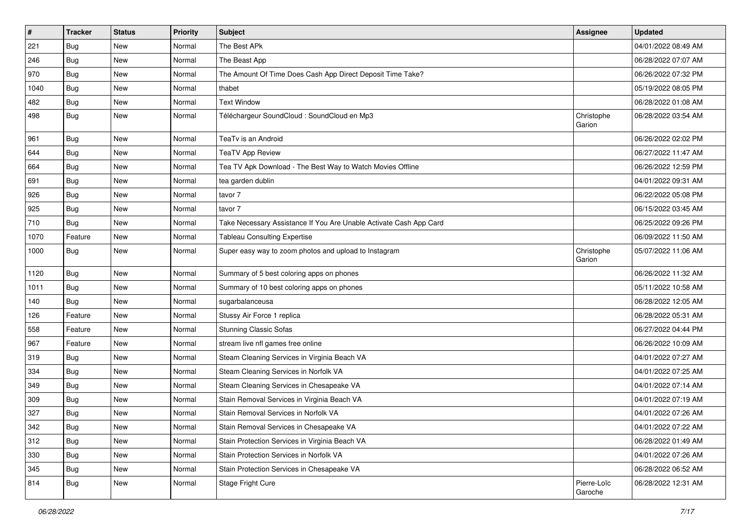| $\vert$ # | <b>Tracker</b> | <b>Status</b> | Priority | <b>Subject</b>                                                     | <b>Assignee</b>        | <b>Updated</b>      |
|-----------|----------------|---------------|----------|--------------------------------------------------------------------|------------------------|---------------------|
| 221       | Bug            | New           | Normal   | The Best APk                                                       |                        | 04/01/2022 08:49 AM |
| 246       | Bug            | New           | Normal   | The Beast App                                                      |                        | 06/28/2022 07:07 AM |
| 970       | Bug            | New           | Normal   | The Amount Of Time Does Cash App Direct Deposit Time Take?         |                        | 06/26/2022 07:32 PM |
| 1040      | Bug            | New           | Normal   | thabet                                                             |                        | 05/19/2022 08:05 PM |
| 482       | Bug            | <b>New</b>    | Normal   | <b>Text Window</b>                                                 |                        | 06/28/2022 01:08 AM |
| 498       | Bug            | New           | Normal   | Téléchargeur SoundCloud : SoundCloud en Mp3                        | Christophe<br>Garion   | 06/28/2022 03:54 AM |
| 961       | Bug            | New           | Normal   | TeaTv is an Android                                                |                        | 06/26/2022 02:02 PM |
| 644       | Bug            | New           | Normal   | <b>TeaTV App Review</b>                                            |                        | 06/27/2022 11:47 AM |
| 664       | Bug            | New           | Normal   | Tea TV Apk Download - The Best Way to Watch Movies Offline         |                        | 06/26/2022 12:59 PM |
| 691       | <b>Bug</b>     | New           | Normal   | tea garden dublin                                                  |                        | 04/01/2022 09:31 AM |
| 926       | Bug            | New           | Normal   | tavor 7                                                            |                        | 06/22/2022 05:08 PM |
| 925       | Bug            | New           | Normal   | tavor 7                                                            |                        | 06/15/2022 03:45 AM |
| 710       | Bug            | New           | Normal   | Take Necessary Assistance If You Are Unable Activate Cash App Card |                        | 06/25/2022 09:26 PM |
| 1070      | Feature        | New           | Normal   | <b>Tableau Consulting Expertise</b>                                |                        | 06/09/2022 11:50 AM |
| 1000      | Bug            | New           | Normal   | Super easy way to zoom photos and upload to Instagram              | Christophe<br>Garion   | 05/07/2022 11:06 AM |
| 1120      | Bug            | New           | Normal   | Summary of 5 best coloring apps on phones                          |                        | 06/26/2022 11:32 AM |
| 1011      | Bug            | New           | Normal   | Summary of 10 best coloring apps on phones                         |                        | 05/11/2022 10:58 AM |
| 140       | Bug            | New           | Normal   | sugarbalanceusa                                                    |                        | 06/28/2022 12:05 AM |
| 126       | Feature        | New           | Normal   | Stussy Air Force 1 replica                                         |                        | 06/28/2022 05:31 AM |
| 558       | Feature        | New           | Normal   | <b>Stunning Classic Sofas</b>                                      |                        | 06/27/2022 04:44 PM |
| 967       | Feature        | <b>New</b>    | Normal   | stream live nfl games free online                                  |                        | 06/26/2022 10:09 AM |
| 319       | Bug            | New           | Normal   | Steam Cleaning Services in Virginia Beach VA                       |                        | 04/01/2022 07:27 AM |
| 334       | Bug            | New           | Normal   | Steam Cleaning Services in Norfolk VA                              |                        | 04/01/2022 07:25 AM |
| 349       | Bug            | <b>New</b>    | Normal   | Steam Cleaning Services in Chesapeake VA                           |                        | 04/01/2022 07:14 AM |
| 309       | Bug            | New           | Normal   | Stain Removal Services in Virginia Beach VA                        |                        | 04/01/2022 07:19 AM |
| 327       | Bug            | New           | Normal   | Stain Removal Services in Norfolk VA                               |                        | 04/01/2022 07:26 AM |
| 342       | Bug            | New           | Normal   | Stain Removal Services in Chesapeake VA                            |                        | 04/01/2022 07:22 AM |
| 312       | Bug            | New           | Normal   | Stain Protection Services in Virginia Beach VA                     |                        | 06/28/2022 01:49 AM |
| 330       | Bug            | New           | Normal   | Stain Protection Services in Norfolk VA                            |                        | 04/01/2022 07:26 AM |
| 345       | Bug            | New           | Normal   | Stain Protection Services in Chesapeake VA                         |                        | 06/28/2022 06:52 AM |
| 814       | <b>Bug</b>     | New           | Normal   | Stage Fright Cure                                                  | Pierre-Loïc<br>Garoche | 06/28/2022 12:31 AM |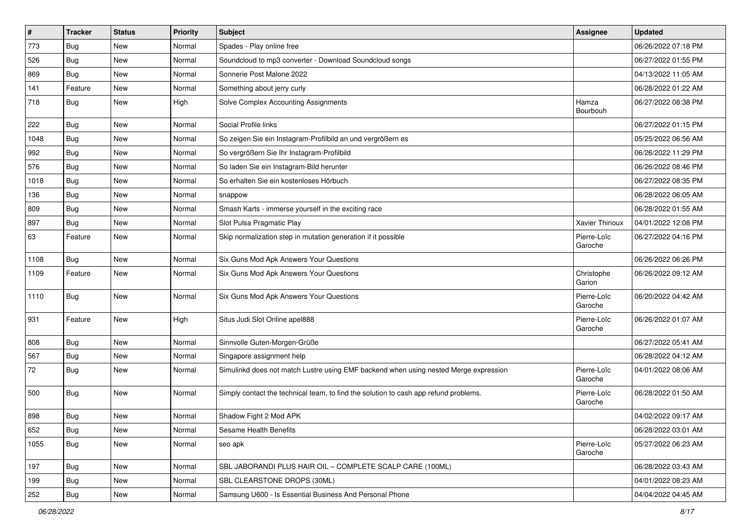| $\pmb{\sharp}$ | <b>Tracker</b> | <b>Status</b> | <b>Priority</b> | Subject                                                                              | Assignee               | <b>Updated</b>      |
|----------------|----------------|---------------|-----------------|--------------------------------------------------------------------------------------|------------------------|---------------------|
| 773            | <b>Bug</b>     | New           | Normal          | Spades - Play online free                                                            |                        | 06/26/2022 07:18 PM |
| 526            | Bug            | New           | Normal          | Soundcloud to mp3 converter - Download Soundcloud songs                              |                        | 06/27/2022 01:55 PM |
| 869            | Bug            | New           | Normal          | Sonnerie Post Malone 2022                                                            |                        | 04/13/2022 11:05 AM |
| 141            | Feature        | New           | Normal          | Something about jerry curly                                                          |                        | 06/28/2022 01:22 AM |
| 718            | Bug            | New           | High            | Solve Complex Accounting Assignments                                                 | Hamza<br>Bourbouh      | 06/27/2022 08:38 PM |
| 222            | Bug            | New           | Normal          | Social Profile links                                                                 |                        | 06/27/2022 01:15 PM |
| 1048           | Bug            | New           | Normal          | So zeigen Sie ein Instagram-Profilbild an und vergrößern es                          |                        | 05/25/2022 06:56 AM |
| 992            | Bug            | New           | Normal          | So vergrößern Sie Ihr Instagram-Profilbild                                           |                        | 06/26/2022 11:29 PM |
| 576            | Bug            | New           | Normal          | So laden Sie ein Instagram-Bild herunter                                             |                        | 06/26/2022 08:46 PM |
| 1018           | Bug            | New           | Normal          | So erhalten Sie ein kostenloses Hörbuch                                              |                        | 06/27/2022 08:35 PM |
| 136            | <b>Bug</b>     | New           | Normal          | snappow                                                                              |                        | 06/28/2022 06:05 AM |
| 809            | Bug            | New           | Normal          | Smash Karts - immerse yourself in the exciting race                                  |                        | 06/28/2022 01:55 AM |
| 897            | <b>Bug</b>     | New           | Normal          | Slot Pulsa Pragmatic Play                                                            | Xavier Thirioux        | 04/01/2022 12:08 PM |
| 63             | Feature        | New           | Normal          | Skip normalization step in mutation generation if it possible                        | Pierre-Loïc<br>Garoche | 06/27/2022 04:16 PM |
| 1108           | Bug            | New           | Normal          | Six Guns Mod Apk Answers Your Questions                                              |                        | 06/26/2022 06:26 PM |
| 1109           | Feature        | New           | Normal          | Six Guns Mod Apk Answers Your Questions                                              | Christophe<br>Garion   | 06/26/2022 09:12 AM |
| 1110           | <b>Bug</b>     | New           | Normal          | Six Guns Mod Apk Answers Your Questions                                              | Pierre-Loïc<br>Garoche | 06/20/2022 04:42 AM |
| 931            | Feature        | <b>New</b>    | High            | Situs Judi Slot Online apel888                                                       | Pierre-Loïc<br>Garoche | 06/26/2022 01:07 AM |
| 808            | Bug            | New           | Normal          | Sinnvolle Guten-Morgen-Grüße                                                         |                        | 06/27/2022 05:41 AM |
| 567            | Bug            | New           | Normal          | Singapore assignment help                                                            |                        | 06/28/2022 04:12 AM |
| 72             | Bug            | New           | Normal          | Simulinkd does not match Lustre using EMF backend when using nested Merge expression | Pierre-Loïc<br>Garoche | 04/01/2022 08:06 AM |
| 500            | <b>Bug</b>     | New           | Normal          | Simply contact the technical team, to find the solution to cash app refund problems. | Pierre-Loïc<br>Garoche | 06/28/2022 01:50 AM |
| 898            | Bug            | New           | Normal          | Shadow Fight 2 Mod APK                                                               |                        | 04/02/2022 09:17 AM |
| 652            | <b>Bug</b>     | New           | Normal          | Sesame Health Benefits                                                               |                        | 06/28/2022 03:01 AM |
| 1055           | Bug            | New           | Normal          | seo apk                                                                              | Pierre-Loïc<br>Garoche | 05/27/2022 06:23 AM |
| 197            | Bug            | New           | Normal          | SBL JABORANDI PLUS HAIR OIL - COMPLETE SCALP CARE (100ML)                            |                        | 06/28/2022 03:43 AM |
| 199            | Bug            | New           | Normal          | SBL CLEARSTONE DROPS (30ML)                                                          |                        | 04/01/2022 08:23 AM |
| 252            | Bug            | New           | Normal          | Samsung U600 - Is Essential Business And Personal Phone                              |                        | 04/04/2022 04:45 AM |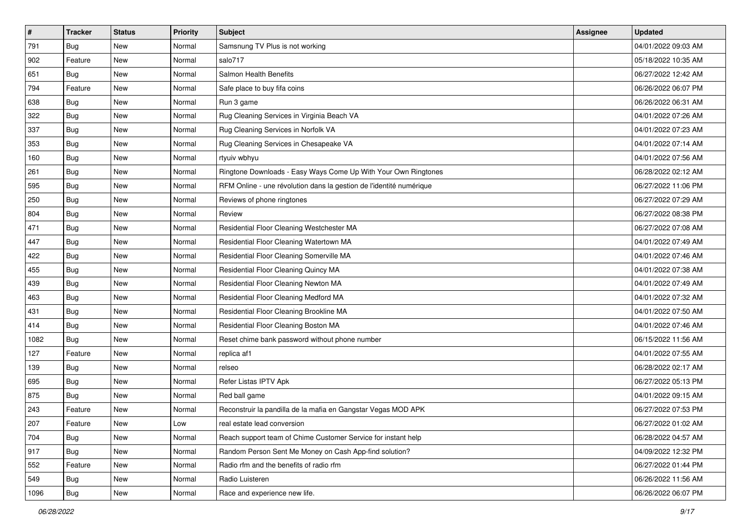| $\sharp$ | <b>Tracker</b> | <b>Status</b> | <b>Priority</b> | <b>Subject</b>                                                      | <b>Assignee</b> | <b>Updated</b>      |
|----------|----------------|---------------|-----------------|---------------------------------------------------------------------|-----------------|---------------------|
| 791      | Bug            | New           | Normal          | Samsnung TV Plus is not working                                     |                 | 04/01/2022 09:03 AM |
| 902      | Feature        | New           | Normal          | salo717                                                             |                 | 05/18/2022 10:35 AM |
| 651      | <b>Bug</b>     | New           | Normal          | Salmon Health Benefits                                              |                 | 06/27/2022 12:42 AM |
| 794      | Feature        | New           | Normal          | Safe place to buy fifa coins                                        |                 | 06/26/2022 06:07 PM |
| 638      | Bug            | New           | Normal          | Run 3 game                                                          |                 | 06/26/2022 06:31 AM |
| 322      | Bug            | New           | Normal          | Rug Cleaning Services in Virginia Beach VA                          |                 | 04/01/2022 07:26 AM |
| 337      | Bug            | New           | Normal          | Rug Cleaning Services in Norfolk VA                                 |                 | 04/01/2022 07:23 AM |
| 353      | Bug            | New           | Normal          | Rug Cleaning Services in Chesapeake VA                              |                 | 04/01/2022 07:14 AM |
| 160      | Bug            | New           | Normal          | rtyuiv wbhyu                                                        |                 | 04/01/2022 07:56 AM |
| 261      | Bug            | New           | Normal          | Ringtone Downloads - Easy Ways Come Up With Your Own Ringtones      |                 | 06/28/2022 02:12 AM |
| 595      | Bug            | New           | Normal          | RFM Online - une révolution dans la gestion de l'identité numérique |                 | 06/27/2022 11:06 PM |
| 250      | Bug            | New           | Normal          | Reviews of phone ringtones                                          |                 | 06/27/2022 07:29 AM |
| 804      | Bug            | New           | Normal          | Review                                                              |                 | 06/27/2022 08:38 PM |
| 471      | Bug            | New           | Normal          | Residential Floor Cleaning Westchester MA                           |                 | 06/27/2022 07:08 AM |
| 447      | Bug            | New           | Normal          | Residential Floor Cleaning Watertown MA                             |                 | 04/01/2022 07:49 AM |
| 422      | Bug            | New           | Normal          | Residential Floor Cleaning Somerville MA                            |                 | 04/01/2022 07:46 AM |
| 455      | Bug            | New           | Normal          | Residential Floor Cleaning Quincy MA                                |                 | 04/01/2022 07:38 AM |
| 439      | Bug            | New           | Normal          | Residential Floor Cleaning Newton MA                                |                 | 04/01/2022 07:49 AM |
| 463      | Bug            | New           | Normal          | Residential Floor Cleaning Medford MA                               |                 | 04/01/2022 07:32 AM |
| 431      | Bug            | New           | Normal          | Residential Floor Cleaning Brookline MA                             |                 | 04/01/2022 07:50 AM |
| 414      | Bug            | New           | Normal          | Residential Floor Cleaning Boston MA                                |                 | 04/01/2022 07:46 AM |
| 1082     | Bug            | New           | Normal          | Reset chime bank password without phone number                      |                 | 06/15/2022 11:56 AM |
| 127      | Feature        | New           | Normal          | replica af1                                                         |                 | 04/01/2022 07:55 AM |
| 139      | Bug            | New           | Normal          | relseo                                                              |                 | 06/28/2022 02:17 AM |
| 695      | Bug            | New           | Normal          | Refer Listas IPTV Apk                                               |                 | 06/27/2022 05:13 PM |
| 875      | Bug            | New           | Normal          | Red ball game                                                       |                 | 04/01/2022 09:15 AM |
| 243      | Feature        | New           | Normal          | Reconstruir la pandilla de la mafia en Gangstar Vegas MOD APK       |                 | 06/27/2022 07:53 PM |
| 207      | Feature        | New           | Low             | real estate lead conversion                                         |                 | 06/27/2022 01:02 AM |
| 704      | Bug            | New           | Normal          | Reach support team of Chime Customer Service for instant help       |                 | 06/28/2022 04:57 AM |
| 917      | Bug            | New           | Normal          | Random Person Sent Me Money on Cash App-find solution?              |                 | 04/09/2022 12:32 PM |
| 552      | Feature        | New           | Normal          | Radio rfm and the benefits of radio rfm                             |                 | 06/27/2022 01:44 PM |
| 549      | Bug            | New           | Normal          | Radio Luisteren                                                     |                 | 06/26/2022 11:56 AM |
| 1096     | <b>Bug</b>     | New           | Normal          | Race and experience new life.                                       |                 | 06/26/2022 06:07 PM |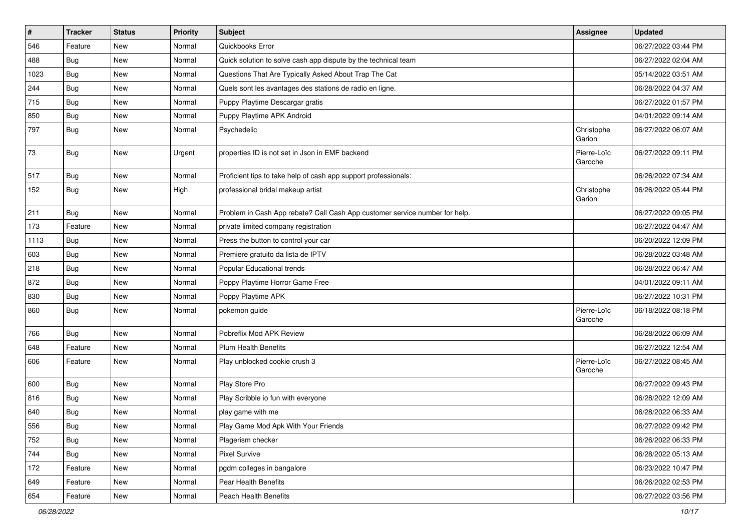| #    | <b>Tracker</b> | <b>Status</b> | <b>Priority</b> | <b>Subject</b>                                                              | Assignee               | <b>Updated</b>      |
|------|----------------|---------------|-----------------|-----------------------------------------------------------------------------|------------------------|---------------------|
| 546  | Feature        | New           | Normal          | Quickbooks Error                                                            |                        | 06/27/2022 03:44 PM |
| 488  | Bug            | New           | Normal          | Quick solution to solve cash app dispute by the technical team              |                        | 06/27/2022 02:04 AM |
| 1023 | Bug            | New           | Normal          | Questions That Are Typically Asked About Trap The Cat                       |                        | 05/14/2022 03:51 AM |
| 244  | Bug            | New           | Normal          | Quels sont les avantages des stations de radio en ligne.                    |                        | 06/28/2022 04:37 AM |
| 715  | Bug            | <b>New</b>    | Normal          | Puppy Playtime Descargar gratis                                             |                        | 06/27/2022 01:57 PM |
| 850  | Bug            | New           | Normal          | Puppy Playtime APK Android                                                  |                        | 04/01/2022 09:14 AM |
| 797  | Bug            | New           | Normal          | Psychedelic                                                                 | Christophe<br>Garion   | 06/27/2022 06:07 AM |
| 73   | Bug            | New           | Urgent          | properties ID is not set in Json in EMF backend                             | Pierre-Loïc<br>Garoche | 06/27/2022 09:11 PM |
| 517  | Bug            | New           | Normal          | Proficient tips to take help of cash app support professionals:             |                        | 06/26/2022 07:34 AM |
| 152  | Bug            | New           | High            | professional bridal makeup artist                                           | Christophe<br>Garion   | 06/26/2022 05:44 PM |
| 211  | Bug            | New           | Normal          | Problem in Cash App rebate? Call Cash App customer service number for help. |                        | 06/27/2022 09:05 PM |
| 173  | Feature        | New           | Normal          | private limited company registration                                        |                        | 06/27/2022 04:47 AM |
| 1113 | Bug            | New           | Normal          | Press the button to control your car                                        |                        | 06/20/2022 12:09 PM |
| 603  | Bug            | New           | Normal          | Premiere gratuito da lista de IPTV                                          |                        | 06/28/2022 03:48 AM |
| 218  | Bug            | New           | Normal          | Popular Educational trends                                                  |                        | 06/28/2022 06:47 AM |
| 872  | Bug            | New           | Normal          | Poppy Playtime Horror Game Free                                             |                        | 04/01/2022 09:11 AM |
| 830  | Bug            | New           | Normal          | Poppy Playtime APK                                                          |                        | 06/27/2022 10:31 PM |
| 860  | Bug            | New           | Normal          | pokemon guide                                                               | Pierre-Loïc<br>Garoche | 06/18/2022 08:18 PM |
| 766  | Bug            | <b>New</b>    | Normal          | Pobreflix Mod APK Review                                                    |                        | 06/28/2022 06:09 AM |
| 648  | Feature        | New           | Normal          | <b>Plum Health Benefits</b>                                                 |                        | 06/27/2022 12:54 AM |
| 606  | Feature        | New           | Normal          | Play unblocked cookie crush 3                                               | Pierre-Loïc<br>Garoche | 06/27/2022 08:45 AM |
| 600  | Bug            | New           | Normal          | Play Store Pro                                                              |                        | 06/27/2022 09:43 PM |
| 816  | Bug            | New           | Normal          | Play Scribble io fun with everyone                                          |                        | 06/28/2022 12:09 AM |
| 640  | Bug            | New           | Normal          | play game with me                                                           |                        | 06/28/2022 06:33 AM |
| 556  | <b>Bug</b>     | New           | Normal          | Play Game Mod Apk With Your Friends                                         |                        | 06/27/2022 09:42 PM |
| 752  | Bug            | New           | Normal          | Plagerism checker                                                           |                        | 06/26/2022 06:33 PM |
| 744  | Bug            | New           | Normal          | Pixel Survive                                                               |                        | 06/28/2022 05:13 AM |
| 172  | Feature        | New           | Normal          | pgdm colleges in bangalore                                                  |                        | 06/23/2022 10:47 PM |
| 649  | Feature        | New           | Normal          | Pear Health Benefits                                                        |                        | 06/26/2022 02:53 PM |
| 654  | Feature        | New           | Normal          | Peach Health Benefits                                                       |                        | 06/27/2022 03:56 PM |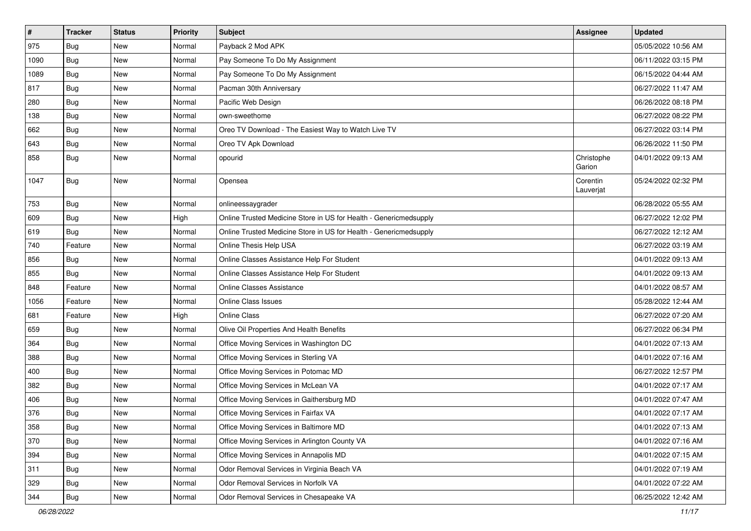| $\pmb{\#}$ | <b>Tracker</b> | <b>Status</b> | <b>Priority</b> | Subject                                                           | Assignee              | <b>Updated</b>      |
|------------|----------------|---------------|-----------------|-------------------------------------------------------------------|-----------------------|---------------------|
| 975        | Bug            | New           | Normal          | Payback 2 Mod APK                                                 |                       | 05/05/2022 10:56 AM |
| 1090       | <b>Bug</b>     | New           | Normal          | Pay Someone To Do My Assignment                                   |                       | 06/11/2022 03:15 PM |
| 1089       | <b>Bug</b>     | New           | Normal          | Pay Someone To Do My Assignment                                   |                       | 06/15/2022 04:44 AM |
| 817        | Bug            | <b>New</b>    | Normal          | Pacman 30th Anniversary                                           |                       | 06/27/2022 11:47 AM |
| 280        | Bug            | <b>New</b>    | Normal          | Pacific Web Design                                                |                       | 06/26/2022 08:18 PM |
| 138        | <b>Bug</b>     | New           | Normal          | own-sweethome                                                     |                       | 06/27/2022 08:22 PM |
| 662        | Bug            | New           | Normal          | Oreo TV Download - The Easiest Way to Watch Live TV               |                       | 06/27/2022 03:14 PM |
| 643        | <b>Bug</b>     | <b>New</b>    | Normal          | Oreo TV Apk Download                                              |                       | 06/26/2022 11:50 PM |
| 858        | Bug            | <b>New</b>    | Normal          | opourid                                                           | Christophe<br>Garion  | 04/01/2022 09:13 AM |
| 1047       | Bug            | New           | Normal          | Opensea                                                           | Corentin<br>Lauverjat | 05/24/2022 02:32 PM |
| 753        | <b>Bug</b>     | New           | Normal          | onlineessaygrader                                                 |                       | 06/28/2022 05:55 AM |
| 609        | Bug            | New           | High            | Online Trusted Medicine Store in US for Health - Genericmedsupply |                       | 06/27/2022 12:02 PM |
| 619        | Bug            | New           | Normal          | Online Trusted Medicine Store in US for Health - Genericmedsupply |                       | 06/27/2022 12:12 AM |
| 740        | Feature        | New           | Normal          | Online Thesis Help USA                                            |                       | 06/27/2022 03:19 AM |
| 856        | Bug            | New           | Normal          | Online Classes Assistance Help For Student                        |                       | 04/01/2022 09:13 AM |
| 855        | Bug            | New           | Normal          | Online Classes Assistance Help For Student                        |                       | 04/01/2022 09:13 AM |
| 848        | Feature        | New           | Normal          | <b>Online Classes Assistance</b>                                  |                       | 04/01/2022 08:57 AM |
| 1056       | Feature        | New           | Normal          | <b>Online Class Issues</b>                                        |                       | 05/28/2022 12:44 AM |
| 681        | Feature        | <b>New</b>    | High            | Online Class                                                      |                       | 06/27/2022 07:20 AM |
| 659        | Bug            | New           | Normal          | Olive Oil Properties And Health Benefits                          |                       | 06/27/2022 06:34 PM |
| 364        | <b>Bug</b>     | <b>New</b>    | Normal          | Office Moving Services in Washington DC                           |                       | 04/01/2022 07:13 AM |
| 388        | Bug            | New           | Normal          | Office Moving Services in Sterling VA                             |                       | 04/01/2022 07:16 AM |
| 400        | <b>Bug</b>     | <b>New</b>    | Normal          | Office Moving Services in Potomac MD                              |                       | 06/27/2022 12:57 PM |
| 382        | Bug            | <b>New</b>    | Normal          | Office Moving Services in McLean VA                               |                       | 04/01/2022 07:17 AM |
| 406        | Bug            | New           | Normal          | Office Moving Services in Gaithersburg MD                         |                       | 04/01/2022 07:47 AM |
| 376        | Bug            | New           | Normal          | Office Moving Services in Fairfax VA                              |                       | 04/01/2022 07:17 AM |
| 358        | Bug            | <b>New</b>    | Normal          | Office Moving Services in Baltimore MD                            |                       | 04/01/2022 07:13 AM |
| 370        | Bug            | New           | Normal          | Office Moving Services in Arlington County VA                     |                       | 04/01/2022 07:16 AM |
| 394        | Bug            | New           | Normal          | Office Moving Services in Annapolis MD                            |                       | 04/01/2022 07:15 AM |
| 311        | Bug            | New           | Normal          | Odor Removal Services in Virginia Beach VA                        |                       | 04/01/2022 07:19 AM |
| 329        | Bug            | New           | Normal          | Odor Removal Services in Norfolk VA                               |                       | 04/01/2022 07:22 AM |
| 344        | <b>Bug</b>     | New           | Normal          | Odor Removal Services in Chesapeake VA                            |                       | 06/25/2022 12:42 AM |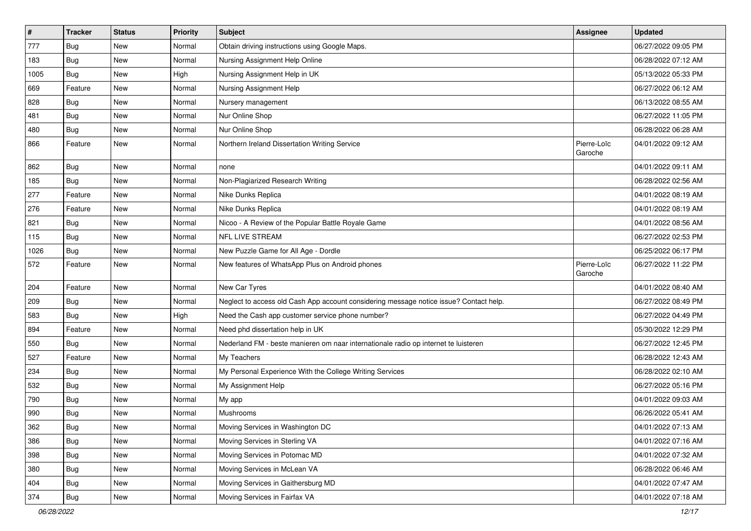| $\pmb{\#}$ | <b>Tracker</b> | <b>Status</b> | Priority | Subject                                                                                | Assignee               | <b>Updated</b>      |
|------------|----------------|---------------|----------|----------------------------------------------------------------------------------------|------------------------|---------------------|
| 777        | Bug            | New           | Normal   | Obtain driving instructions using Google Maps.                                         |                        | 06/27/2022 09:05 PM |
| 183        | Bug            | <b>New</b>    | Normal   | Nursing Assignment Help Online                                                         |                        | 06/28/2022 07:12 AM |
| 1005       | Bug            | New           | High     | Nursing Assignment Help in UK                                                          |                        | 05/13/2022 05:33 PM |
| 669        | Feature        | New           | Normal   | Nursing Assignment Help                                                                |                        | 06/27/2022 06:12 AM |
| 828        | Bug            | <b>New</b>    | Normal   | Nursery management                                                                     |                        | 06/13/2022 08:55 AM |
| 481        | <b>Bug</b>     | New           | Normal   | Nur Online Shop                                                                        |                        | 06/27/2022 11:05 PM |
| 480        | Bug            | <b>New</b>    | Normal   | Nur Online Shop                                                                        |                        | 06/28/2022 06:28 AM |
| 866        | Feature        | New           | Normal   | Northern Ireland Dissertation Writing Service                                          | Pierre-Loïc<br>Garoche | 04/01/2022 09:12 AM |
| 862        | <b>Bug</b>     | <b>New</b>    | Normal   | none                                                                                   |                        | 04/01/2022 09:11 AM |
| 185        | Bug            | New           | Normal   | Non-Plagiarized Research Writing                                                       |                        | 06/28/2022 02:56 AM |
| 277        | Feature        | <b>New</b>    | Normal   | Nike Dunks Replica                                                                     |                        | 04/01/2022 08:19 AM |
| 276        | Feature        | <b>New</b>    | Normal   | Nike Dunks Replica                                                                     |                        | 04/01/2022 08:19 AM |
| 821        | Bug            | New           | Normal   | Nicoo - A Review of the Popular Battle Royale Game                                     |                        | 04/01/2022 08:56 AM |
| 115        | <b>Bug</b>     | <b>New</b>    | Normal   | NFL LIVE STREAM                                                                        |                        | 06/27/2022 02:53 PM |
| 1026       | Bug            | New           | Normal   | New Puzzle Game for All Age - Dordle                                                   |                        | 06/25/2022 06:17 PM |
| 572        | Feature        | New           | Normal   | New features of WhatsApp Plus on Android phones                                        | Pierre-Loïc<br>Garoche | 06/27/2022 11:22 PM |
| 204        | Feature        | New           | Normal   | New Car Tyres                                                                          |                        | 04/01/2022 08:40 AM |
| 209        | Bug            | New           | Normal   | Neglect to access old Cash App account considering message notice issue? Contact help. |                        | 06/27/2022 08:49 PM |
| 583        | Bug            | <b>New</b>    | High     | Need the Cash app customer service phone number?                                       |                        | 06/27/2022 04:49 PM |
| 894        | Feature        | <b>New</b>    | Normal   | Need phd dissertation help in UK                                                       |                        | 05/30/2022 12:29 PM |
| 550        | Bug            | New           | Normal   | Nederland FM - beste manieren om naar internationale radio op internet te luisteren    |                        | 06/27/2022 12:45 PM |
| 527        | Feature        | New           | Normal   | My Teachers                                                                            |                        | 06/28/2022 12:43 AM |
| 234        | Bug            | New           | Normal   | My Personal Experience With the College Writing Services                               |                        | 06/28/2022 02:10 AM |
| 532        | <b>Bug</b>     | <b>New</b>    | Normal   | My Assignment Help                                                                     |                        | 06/27/2022 05:16 PM |
| 790        | Bug            | New           | Normal   | My app                                                                                 |                        | 04/01/2022 09:03 AM |
| 990        | Bug            | New           | Normal   | Mushrooms                                                                              |                        | 06/26/2022 05:41 AM |
| 362        | Bug            | New           | Normal   | Moving Services in Washington DC                                                       |                        | 04/01/2022 07:13 AM |
| 386        | Bug            | New           | Normal   | Moving Services in Sterling VA                                                         |                        | 04/01/2022 07:16 AM |
| 398        | Bug            | New           | Normal   | Moving Services in Potomac MD                                                          |                        | 04/01/2022 07:32 AM |
| 380        | <b>Bug</b>     | New           | Normal   | Moving Services in McLean VA                                                           |                        | 06/28/2022 06:46 AM |
| 404        | Bug            | New           | Normal   | Moving Services in Gaithersburg MD                                                     |                        | 04/01/2022 07:47 AM |
| 374        | <b>Bug</b>     | New           | Normal   | Moving Services in Fairfax VA                                                          |                        | 04/01/2022 07:18 AM |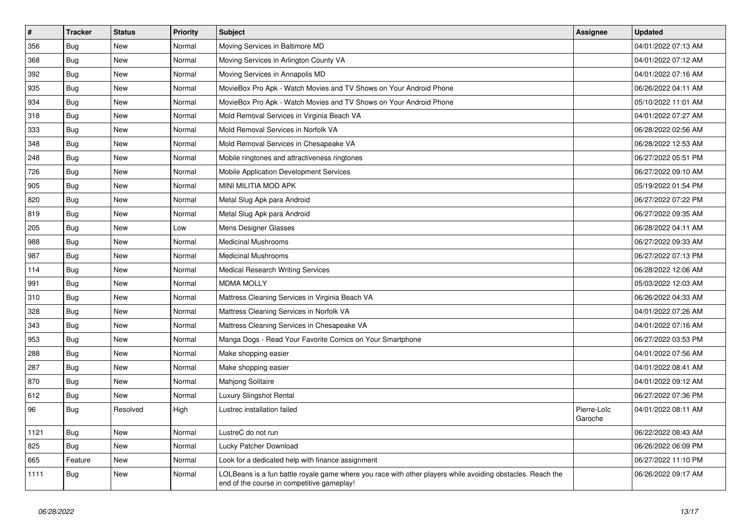| $\vert$ # | <b>Tracker</b> | <b>Status</b> | <b>Priority</b> | <b>Subject</b>                                                                                                                                           | <b>Assignee</b>        | <b>Updated</b>      |
|-----------|----------------|---------------|-----------------|----------------------------------------------------------------------------------------------------------------------------------------------------------|------------------------|---------------------|
| 356       | Bug            | <b>New</b>    | Normal          | Moving Services in Baltimore MD                                                                                                                          |                        | 04/01/2022 07:13 AM |
| 368       | Bug            | <b>New</b>    | Normal          | Moving Services in Arlington County VA                                                                                                                   |                        | 04/01/2022 07:12 AM |
| 392       | Bug            | New           | Normal          | Moving Services in Annapolis MD                                                                                                                          |                        | 04/01/2022 07:16 AM |
| 935       | Bug            | New           | Normal          | MovieBox Pro Apk - Watch Movies and TV Shows on Your Android Phone                                                                                       |                        | 06/26/2022 04:11 AM |
| 934       | Bug            | New           | Normal          | MovieBox Pro Apk - Watch Movies and TV Shows on Your Android Phone                                                                                       |                        | 05/10/2022 11:01 AM |
| 318       | Bug            | New           | Normal          | Mold Removal Services in Virginia Beach VA                                                                                                               |                        | 04/01/2022 07:27 AM |
| 333       | Bug            | New           | Normal          | Mold Removal Services in Norfolk VA                                                                                                                      |                        | 06/28/2022 02:56 AM |
| 348       | Bug            | New           | Normal          | Mold Removal Services in Chesapeake VA                                                                                                                   |                        | 06/28/2022 12:53 AM |
| 248       | <b>Bug</b>     | New           | Normal          | Mobile ringtones and attractiveness ringtones                                                                                                            |                        | 06/27/2022 05:51 PM |
| 726       | Bug            | New           | Normal          | Mobile Application Development Services                                                                                                                  |                        | 06/27/2022 09:10 AM |
| 905       | Bug            | New           | Normal          | MINI MILITIA MOD APK                                                                                                                                     |                        | 05/19/2022 01:54 PM |
| 820       | Bug            | New           | Normal          | Metal Slug Apk para Android                                                                                                                              |                        | 06/27/2022 07:22 PM |
| 819       | Bug            | New           | Normal          | Metal Slug Apk para Android                                                                                                                              |                        | 06/27/2022 09:35 AM |
| 205       | Bug            | New           | Low             | Mens Designer Glasses                                                                                                                                    |                        | 06/28/2022 04:11 AM |
| 988       | Bug            | New           | Normal          | <b>Medicinal Mushrooms</b>                                                                                                                               |                        | 06/27/2022 09:33 AM |
| 987       | Bug            | New           | Normal          | <b>Medicinal Mushrooms</b>                                                                                                                               |                        | 06/27/2022 07:13 PM |
| 114       | Bug            | New           | Normal          | <b>Medical Research Writing Services</b>                                                                                                                 |                        | 06/28/2022 12:06 AM |
| 991       | Bug            | <b>New</b>    | Normal          | <b>MDMA MOLLY</b>                                                                                                                                        |                        | 05/03/2022 12:03 AM |
| 310       | Bug            | New           | Normal          | Mattress Cleaning Services in Virginia Beach VA                                                                                                          |                        | 06/26/2022 04:33 AM |
| 328       | Bug            | New           | Normal          | Mattress Cleaning Services in Norfolk VA                                                                                                                 |                        | 04/01/2022 07:26 AM |
| 343       | Bug            | <b>New</b>    | Normal          | Mattress Cleaning Services in Chesapeake VA                                                                                                              |                        | 04/01/2022 07:16 AM |
| 953       | Bug            | New           | Normal          | Manga Dogs - Read Your Favorite Comics on Your Smartphone                                                                                                |                        | 06/27/2022 03:53 PM |
| 288       | Bug            | New           | Normal          | Make shopping easier                                                                                                                                     |                        | 04/01/2022 07:56 AM |
| 287       | <b>Bug</b>     | New           | Normal          | Make shopping easier                                                                                                                                     |                        | 04/01/2022 08:41 AM |
| 870       | <b>Bug</b>     | New           | Normal          | Mahjong Solitaire                                                                                                                                        |                        | 04/01/2022 09:12 AM |
| 612       | <b>Bug</b>     | <b>New</b>    | Normal          | <b>Luxury Slingshot Rental</b>                                                                                                                           |                        | 06/27/2022 07:36 PM |
| 96        | Bug            | Resolved      | High            | Lustrec installation failed                                                                                                                              | Pierre-Loïc<br>Garoche | 04/01/2022 08:11 AM |
| 1121      | Bug            | <b>New</b>    | Normal          | LustreC do not run                                                                                                                                       |                        | 06/22/2022 08:43 AM |
| 825       | Bug            | <b>New</b>    | Normal          | Lucky Patcher Download                                                                                                                                   |                        | 06/26/2022 06:09 PM |
| 665       | Feature        | <b>New</b>    | Normal          | Look for a dedicated help with finance assignment                                                                                                        |                        | 06/27/2022 11:10 PM |
| 1111      | Bug            | New           | Normal          | LOLBeans is a fun battle royale game where you race with other players while avoiding obstacles. Reach the<br>end of the course in competitive gameplay! |                        | 06/26/2022 09:17 AM |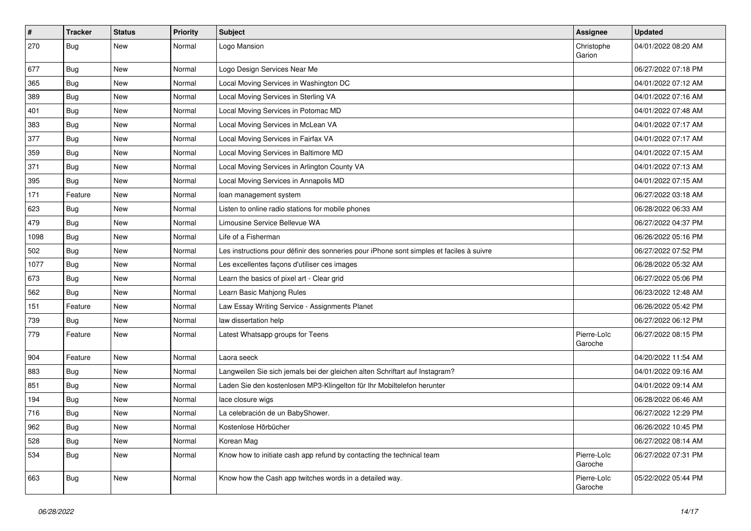| $\vert$ # | <b>Tracker</b> | <b>Status</b> | Priority | <b>Subject</b>                                                                           | <b>Assignee</b>        | <b>Updated</b>      |
|-----------|----------------|---------------|----------|------------------------------------------------------------------------------------------|------------------------|---------------------|
| 270       | Bug            | New           | Normal   | Logo Mansion                                                                             | Christophe<br>Garion   | 04/01/2022 08:20 AM |
| 677       | <b>Bug</b>     | New           | Normal   | Logo Design Services Near Me                                                             |                        | 06/27/2022 07:18 PM |
| 365       | <b>Bug</b>     | New           | Normal   | Local Moving Services in Washington DC                                                   |                        | 04/01/2022 07:12 AM |
| 389       | Bug            | <b>New</b>    | Normal   | Local Moving Services in Sterling VA                                                     |                        | 04/01/2022 07:16 AM |
| 401       | <b>Bug</b>     | New           | Normal   | Local Moving Services in Potomac MD                                                      |                        | 04/01/2022 07:48 AM |
| 383       | Bug            | New           | Normal   | Local Moving Services in McLean VA                                                       |                        | 04/01/2022 07:17 AM |
| 377       | Bug            | New           | Normal   | Local Moving Services in Fairfax VA                                                      |                        | 04/01/2022 07:17 AM |
| 359       | <b>Bug</b>     | New           | Normal   | Local Moving Services in Baltimore MD                                                    |                        | 04/01/2022 07:15 AM |
| 371       | Bug            | <b>New</b>    | Normal   | Local Moving Services in Arlington County VA                                             |                        | 04/01/2022 07:13 AM |
| 395       | <b>Bug</b>     | New           | Normal   | Local Moving Services in Annapolis MD                                                    |                        | 04/01/2022 07:15 AM |
| 171       | Feature        | New           | Normal   | loan management system                                                                   |                        | 06/27/2022 03:18 AM |
| 623       | Bug            | New           | Normal   | Listen to online radio stations for mobile phones                                        |                        | 06/28/2022 06:33 AM |
| 479       | Bug            | New           | Normal   | Limousine Service Bellevue WA                                                            |                        | 06/27/2022 04:37 PM |
| 1098      | Bug            | <b>New</b>    | Normal   | Life of a Fisherman                                                                      |                        | 06/26/2022 05:16 PM |
| 502       | Bug            | New           | Normal   | Les instructions pour définir des sonneries pour iPhone sont simples et faciles à suivre |                        | 06/27/2022 07:52 PM |
| 1077      | Bug            | New           | Normal   | Les excellentes façons d'utiliser ces images                                             |                        | 06/28/2022 05:32 AM |
| 673       | Bug            | New           | Normal   | Learn the basics of pixel art - Clear grid                                               |                        | 06/27/2022 05:06 PM |
| 562       | Bug            | New           | Normal   | Learn Basic Mahjong Rules                                                                |                        | 06/23/2022 12:48 AM |
| 151       | Feature        | New           | Normal   | Law Essay Writing Service - Assignments Planet                                           |                        | 06/26/2022 05:42 PM |
| 739       | Bug            | New           | Normal   | law dissertation help                                                                    |                        | 06/27/2022 06:12 PM |
| 779       | Feature        | New           | Normal   | Latest Whatsapp groups for Teens                                                         | Pierre-Loïc<br>Garoche | 06/27/2022 08:15 PM |
| 904       | Feature        | New           | Normal   | Laora seeck                                                                              |                        | 04/20/2022 11:54 AM |
| 883       | Bug            | New           | Normal   | Langweilen Sie sich jemals bei der gleichen alten Schriftart auf Instagram?              |                        | 04/01/2022 09:16 AM |
| 851       | Bug            | New           | Normal   | Laden Sie den kostenlosen MP3-Klingelton für Ihr Mobiltelefon herunter                   |                        | 04/01/2022 09:14 AM |
| 194       | Bug            | New           | Normal   | lace closure wigs                                                                        |                        | 06/28/2022 06:46 AM |
| 716       | Bug            | New           | Normal   | La celebración de un BabyShower.                                                         |                        | 06/27/2022 12:29 PM |
| 962       | <b>Bug</b>     | New           | Normal   | Kostenlose Hörbücher                                                                     |                        | 06/26/2022 10:45 PM |
| 528       | Bug            | New           | Normal   | Korean Mag                                                                               |                        | 06/27/2022 08:14 AM |
| 534       | <b>Bug</b>     | New           | Normal   | Know how to initiate cash app refund by contacting the technical team                    | Pierre-Loïc<br>Garoche | 06/27/2022 07:31 PM |
| 663       | Bug            | New           | Normal   | Know how the Cash app twitches words in a detailed way.                                  | Pierre-Loïc<br>Garoche | 05/22/2022 05:44 PM |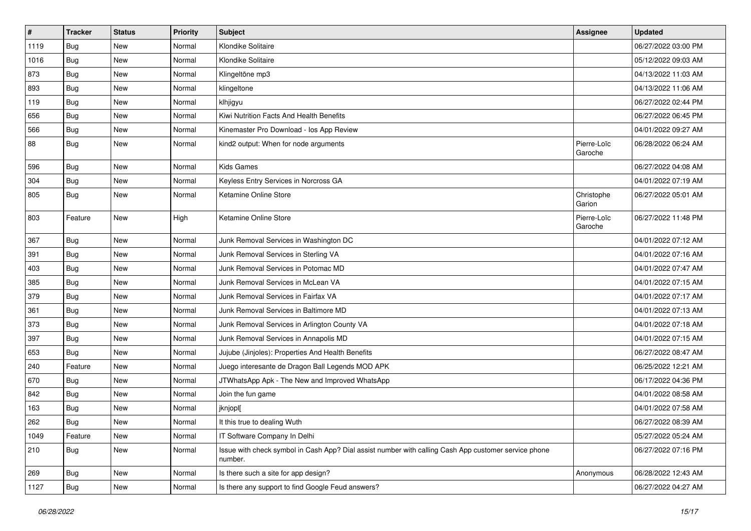| $\sharp$ | <b>Tracker</b> | <b>Status</b> | <b>Priority</b> | <b>Subject</b>                                                                                                  | <b>Assignee</b>        | <b>Updated</b>      |
|----------|----------------|---------------|-----------------|-----------------------------------------------------------------------------------------------------------------|------------------------|---------------------|
| 1119     | <b>Bug</b>     | New           | Normal          | Klondike Solitaire                                                                                              |                        | 06/27/2022 03:00 PM |
| 1016     | Bug            | New           | Normal          | Klondike Solitaire                                                                                              |                        | 05/12/2022 09:03 AM |
| 873      | <b>Bug</b>     | New           | Normal          | Klingeltöne mp3                                                                                                 |                        | 04/13/2022 11:03 AM |
| 893      | <b>Bug</b>     | New           | Normal          | klingeltone                                                                                                     |                        | 04/13/2022 11:06 AM |
| 119      | Bug            | New           | Normal          | klhjigyu                                                                                                        |                        | 06/27/2022 02:44 PM |
| 656      | <b>Bug</b>     | New           | Normal          | Kiwi Nutrition Facts And Health Benefits                                                                        |                        | 06/27/2022 06:45 PM |
| 566      | Bug            | New           | Normal          | Kinemaster Pro Download - los App Review                                                                        |                        | 04/01/2022 09:27 AM |
| 88       | Bug            | New           | Normal          | kind2 output: When for node arguments                                                                           | Pierre-Loïc<br>Garoche | 06/28/2022 06:24 AM |
| 596      | Bug            | <b>New</b>    | Normal          | <b>Kids Games</b>                                                                                               |                        | 06/27/2022 04:08 AM |
| 304      | Bug            | New           | Normal          | Keyless Entry Services in Norcross GA                                                                           |                        | 04/01/2022 07:19 AM |
| 805      | Bug            | New           | Normal          | Ketamine Online Store                                                                                           | Christophe<br>Garion   | 06/27/2022 05:01 AM |
| 803      | Feature        | <b>New</b>    | High            | Ketamine Online Store                                                                                           | Pierre-Loïc<br>Garoche | 06/27/2022 11:48 PM |
| 367      | Bug            | <b>New</b>    | Normal          | Junk Removal Services in Washington DC                                                                          |                        | 04/01/2022 07:12 AM |
| 391      | Bug            | New           | Normal          | Junk Removal Services in Sterling VA                                                                            |                        | 04/01/2022 07:16 AM |
| 403      | Bug            | New           | Normal          | Junk Removal Services in Potomac MD                                                                             |                        | 04/01/2022 07:47 AM |
| 385      | Bug            | New           | Normal          | Junk Removal Services in McLean VA                                                                              |                        | 04/01/2022 07:15 AM |
| 379      | <b>Bug</b>     | New           | Normal          | Junk Removal Services in Fairfax VA                                                                             |                        | 04/01/2022 07:17 AM |
| 361      | Bug            | New           | Normal          | Junk Removal Services in Baltimore MD                                                                           |                        | 04/01/2022 07:13 AM |
| 373      | Bug            | New           | Normal          | Junk Removal Services in Arlington County VA                                                                    |                        | 04/01/2022 07:18 AM |
| 397      | Bug            | New           | Normal          | Junk Removal Services in Annapolis MD                                                                           |                        | 04/01/2022 07:15 AM |
| 653      | Bug            | New           | Normal          | Jujube (Jinjoles): Properties And Health Benefits                                                               |                        | 06/27/2022 08:47 AM |
| 240      | Feature        | New           | Normal          | Juego interesante de Dragon Ball Legends MOD APK                                                                |                        | 06/25/2022 12:21 AM |
| 670      | Bug            | New           | Normal          | JTWhatsApp Apk - The New and Improved WhatsApp                                                                  |                        | 06/17/2022 04:36 PM |
| 842      | Bug            | New           | Normal          | Join the fun game                                                                                               |                        | 04/01/2022 08:58 AM |
| 163      | Bug            | New           | Normal          | jknjopl[                                                                                                        |                        | 04/01/2022 07:58 AM |
| 262      | Bug            | New           | Normal          | It this true to dealing Wuth                                                                                    |                        | 06/27/2022 08:39 AM |
| 1049     | Feature        | New           | Normal          | IT Software Company In Delhi                                                                                    |                        | 05/27/2022 05:24 AM |
| 210      | Bug            | New           | Normal          | Issue with check symbol in Cash App? Dial assist number with calling Cash App customer service phone<br>number. |                        | 06/27/2022 07:16 PM |
| 269      | Bug            | New           | Normal          | Is there such a site for app design?                                                                            | Anonymous              | 06/28/2022 12:43 AM |
| 1127     | <b>Bug</b>     | New           | Normal          | Is there any support to find Google Feud answers?                                                               |                        | 06/27/2022 04:27 AM |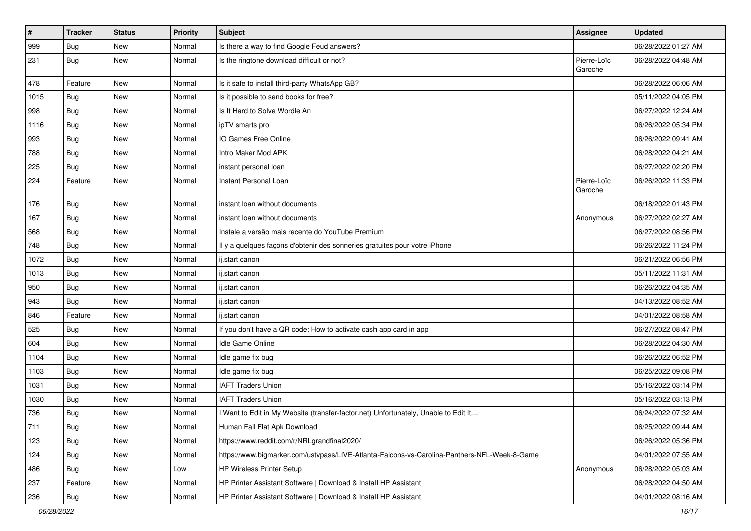| $\sharp$ | <b>Tracker</b> | <b>Status</b> | Priority | <b>Subject</b>                                                                               | Assignee               | <b>Updated</b>      |
|----------|----------------|---------------|----------|----------------------------------------------------------------------------------------------|------------------------|---------------------|
| 999      | Bug            | New           | Normal   | Is there a way to find Google Feud answers?                                                  |                        | 06/28/2022 01:27 AM |
| 231      | Bug            | New           | Normal   | Is the ringtone download difficult or not?                                                   | Pierre-Loïc<br>Garoche | 06/28/2022 04:48 AM |
| 478      | Feature        | New           | Normal   | Is it safe to install third-party WhatsApp GB?                                               |                        | 06/28/2022 06:06 AM |
| 1015     | Bug            | New           | Normal   | Is it possible to send books for free?                                                       |                        | 05/11/2022 04:05 PM |
| 998      | Bug            | New           | Normal   | Is It Hard to Solve Wordle An                                                                |                        | 06/27/2022 12:24 AM |
| 1116     | Bug            | New           | Normal   | ipTV smarts pro                                                                              |                        | 06/26/2022 05:34 PM |
| 993      | Bug            | <b>New</b>    | Normal   | IO Games Free Online                                                                         |                        | 06/26/2022 09:41 AM |
| 788      | Bug            | New           | Normal   | Intro Maker Mod APK                                                                          |                        | 06/28/2022 04:21 AM |
| 225      | Bug            | <b>New</b>    | Normal   | instant personal loan                                                                        |                        | 06/27/2022 02:20 PM |
| 224      | Feature        | New           | Normal   | Instant Personal Loan                                                                        | Pierre-Loïc<br>Garoche | 06/26/2022 11:33 PM |
| 176      | Bug            | New           | Normal   | instant loan without documents                                                               |                        | 06/18/2022 01:43 PM |
| 167      | Bug            | New           | Normal   | instant loan without documents                                                               | Anonymous              | 06/27/2022 02:27 AM |
| 568      | Bug            | New           | Normal   | Instale a versão mais recente do YouTube Premium                                             |                        | 06/27/2022 08:56 PM |
| 748      | Bug            | <b>New</b>    | Normal   | Il y a quelques façons d'obtenir des sonneries gratuites pour votre iPhone                   |                        | 06/26/2022 11:24 PM |
| 1072     | Bug            | New           | Normal   | ij.start canon                                                                               |                        | 06/21/2022 06:56 PM |
| 1013     | Bug            | New           | Normal   | ij.start canon                                                                               |                        | 05/11/2022 11:31 AM |
| 950      | Bug            | New           | Normal   | ij.start canon                                                                               |                        | 06/26/2022 04:35 AM |
| 943      | Bug            | New           | Normal   | ij.start canon                                                                               |                        | 04/13/2022 08:52 AM |
| 846      | Feature        | New           | Normal   | ij.start canon                                                                               |                        | 04/01/2022 08:58 AM |
| 525      | Bug            | New           | Normal   | If you don't have a QR code: How to activate cash app card in app                            |                        | 06/27/2022 08:47 PM |
| 604      | Bug            | New           | Normal   | Idle Game Online                                                                             |                        | 06/28/2022 04:30 AM |
| 1104     | Bug            | New           | Normal   | Idle game fix bug                                                                            |                        | 06/26/2022 06:52 PM |
| 1103     | Bug            | New           | Normal   | Idle game fix bug                                                                            |                        | 06/25/2022 09:08 PM |
| 1031     | Bug            | New           | Normal   | <b>IAFT Traders Union</b>                                                                    |                        | 05/16/2022 03:14 PM |
| 1030     | Bug            | New           | Normal   | <b>IAFT Traders Union</b>                                                                    |                        | 05/16/2022 03:13 PM |
| 736      | Bug            | New           | Normal   | I Want to Edit in My Website (transfer-factor.net) Unfortunately, Unable to Edit It          |                        | 06/24/2022 07:32 AM |
| 711      | Bug            | New           | Normal   | Human Fall Flat Apk Download                                                                 |                        | 06/25/2022 09:44 AM |
| 123      | Bug            | New           | Normal   | https://www.reddit.com/r/NRLgrandfinal2020/                                                  |                        | 06/26/2022 05:36 PM |
| 124      | Bug            | New           | Normal   | https://www.bigmarker.com/ustvpass/LIVE-Atlanta-Falcons-vs-Carolina-Panthers-NFL-Week-8-Game |                        | 04/01/2022 07:55 AM |
| 486      | <b>Bug</b>     | New           | Low      | HP Wireless Printer Setup                                                                    | Anonymous              | 06/28/2022 05:03 AM |
| 237      | Feature        | New           | Normal   | HP Printer Assistant Software   Download & Install HP Assistant                              |                        | 06/28/2022 04:50 AM |
| 236      | Bug            | New           | Normal   | HP Printer Assistant Software   Download & Install HP Assistant                              |                        | 04/01/2022 08:16 AM |